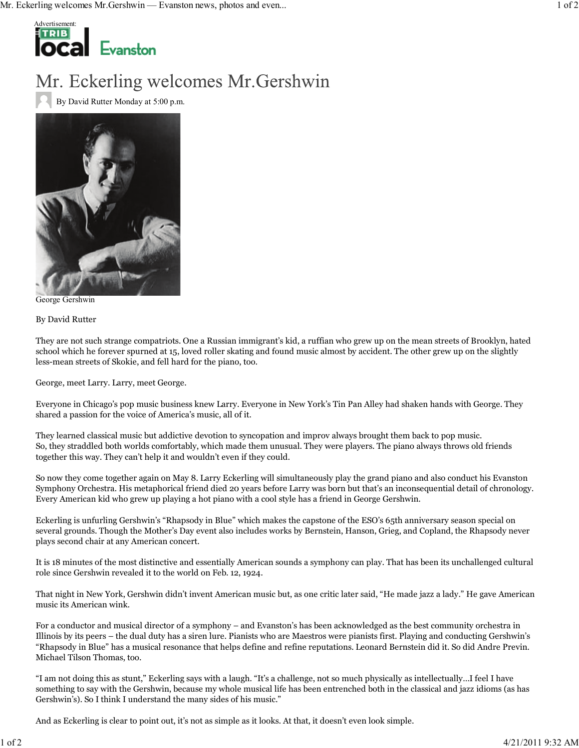

## Mr. Eckerling welcomes Mr. Gershwin

By David Rutter Monday at 5:00 p.m.



George Gershwin

By David Rutter

They are not such strange compatriots. One a Russian immigrant's kid, a ruffian who grew up on the mean streets of Brooklyn, hated school which he forever spurned at 15, loved roller skating and found music almost by accident. The other grew up on the slightly less-mean streets of Skokie, and fell hard for the piano, too.

George, meet Larry. Larry, meet George.

Everyone in Chicago's pop music business knew Larry. Everyone in New York's Tin Pan Alley had shaken hands with George. They shared a passion for the voice of America's music, all of it.

They learned classical music but addictive devotion to syncopation and improv always brought them back to pop music. So, they straddled both worlds comfortably, which made them unusual. They were players. The piano always throws old friends together this way. They can't help it and wouldn't even if they could.

So now they come together again on May 8. Larry Eckerling will simultaneously play the grand piano and also conduct his Evanston Symphony Orchestra. His metaphorical friend died 20 years before Larry was born but that's an inconsequential detail of chronology. Every American kid who grew up playing a hot piano with a cool style has a friend in George Gershwin.

Eckerling is unfurling Gershwin's "Rhapsody in Blue" which makes the capstone of the ESO's 65th anniversary season special on several grounds. Though the Mother's Day event also includes works by Bernstein, Hanson, Grieg, and Copland, the Rhapsody never plays second chair at any American concert.

It is 18 minutes of the most distinctive and essentially American sounds a symphony can play. That has been its unchallenged cultural role since Gershwin revealed it to the world on Feb. 12, 1924.

That night in New York, Gershwin didn't invent American music but, as one critic later said, "He made jazz a lady." He gave American music its American wink.

For a conductor and musical director of a symphony – and Evanston's has been acknowledged as the best community orchestra in Illinois by its peers – the dual duty has a siren lure. Pianists who are Maestros were pianists first. Playing and conducting Gershwin's "Rhapsody in Blue" has a musical resonance that helps define and refine reputations. Leonard Bernstein did it. So did Andre Previn. Michael Tilson Thomas, too.

"I am not doing this as stunt," Eckerling says with a laugh. "It's a challenge, not so much physically as intellectually…I feel I have something to say with the Gershwin, because my whole musical life has been entrenched both in the classical and jazz idioms (as has Gershwin's). So I think I understand the many sides of his music."

And as Eckerling is clear to point out, it's not as simple as it looks. At that, it doesn't even look simple.